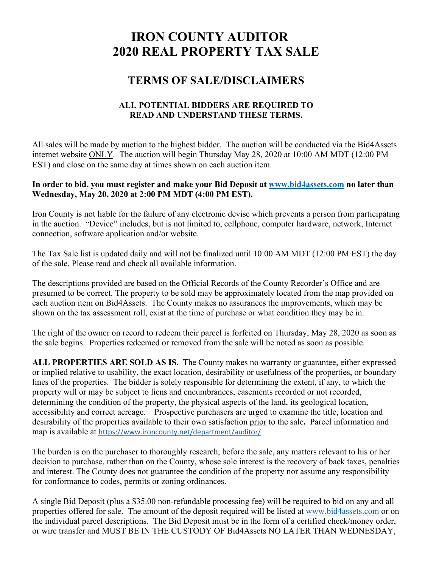# **IRON COUNTY AUDITOR 2020 REAL PROPERTY TAX SALE**

## **TERMS OF SALE/DISCLAIMERS**

#### **ALL POTENTIAL BIDDERS ARE REQUIRED TO READ AND UNDERSTAND THESE TERMS.**

All sales will be made by auction to the highest bidder. The auction will be conducted via the Bid4Assets internet website ONLY. The auction will begin Thursday May 28, 2020 at 10:00 AM MDT (12:00 PM EST) and close on the same day at times shown on each auction item.

#### **In order to bid, you must register and make your Bid Deposit at [www.bid4assets.com](http://www.bid4assets.com/) no later than Wednesday, May 20, 2020 at 2:00 PM MDT (4:00 PM EST).**

Iron County is not liable for the failure of any electronic devise which prevents a person from participating in the auction. "Device" includes, but is not limited to, cellphone, computer hardware, network, Internet connection, software application and/or website.

The Tax Sale list is updated daily and will not be finalized until 10:00 AM MDT (12:00 PM EST) the day of the sale. Please read and check all available information.

The descriptions provided are based on the Official Records of the County Recorder's Office and are presumed to be correct. The property to be sold may be approximately located from the map provided on each auction item on Bid4Assets. The County makes no assurances the improvements, which may be shown on the tax assessment roll, exist at the time of purchase or what condition they may be in.

The right of the owner on record to redeem their parcel is forfeited on Thursday, May 28, 2020 as soon as the sale begins. Properties redeemed or removed from the sale will be noted as soon as possible.

**ALL PROPERTIES ARE SOLD AS IS.** The County makes no warranty or guarantee, either expressed or implied relative to usability, the exact location, desirability or usefulness of the properties, or boundary lines of the properties. The bidder is solely responsible for determining the extent, if any, to which the property will or may be subject to liens and encumbrances, easements recorded or not recorded, determining the condition of the property, the physical aspects of the land, its geological location, accessibility and correct acreage. Prospective purchasers are urged to examine the title, location and desirability of the properties available to their own satisfaction prior to the sale**.** Parcel information and map is available at <https://www.ironcounty.net/department/auditor/>

The burden is on the purchaser to thoroughly research, before the sale, any matters relevant to his or her decision to purchase, rather than on the County, whose sole interest is the recovery of back taxes, penalties and interest. The County does not guarantee the condition of the property nor assume any responsibility for conformance to codes, permits or zoning ordinances.

A single Bid Deposit (plus a \$35.00 non-refundable processing fee) will be required to bid on any and all properties offered for sale. The amount of the deposit required will be listed at [www.bid4assets.com](http://www.bid4assets.com/) or on the individual parcel descriptions. The Bid Deposit must be in the form of a certified check/money order, or wire transfer and MUST BE IN THE CUSTODY OF Bid4Assets NO LATER THAN WEDNESDAY,